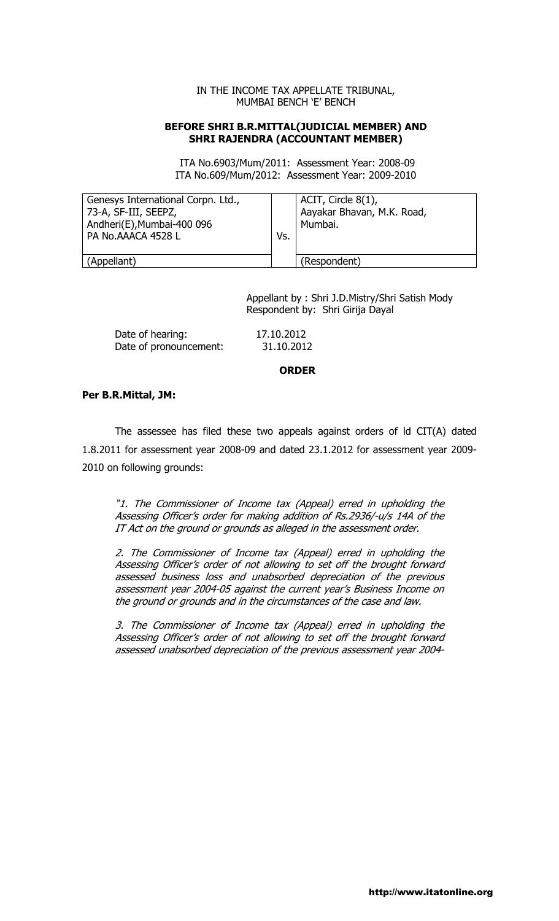#### IN THE INCOME TAX APPELLATE TRIBUNAL, MUMBAI BENCH 'E' BENCH

### BEFORE SHRI B.R.MITTAL(JUDICIAL MEMBER) AND SHRI RAJENDRA (ACCOUNTANT MEMBER)

 ITA No.6903/Mum/2011: Assessment Year: 2008-09 ITA No.609/Mum/2012: Assessment Year: 2009-2010

| Genesys International Corpn. Ltd.,<br>73-A, SF-III, SEEPZ,<br>Andheri(E), Mumbai-400 096<br>PA No.AAACA 4528 L | Vs. | ACIT, Circle $8(1)$ ,<br>Aayakar Bhavan, M.K. Road,<br>Mumbai. |
|----------------------------------------------------------------------------------------------------------------|-----|----------------------------------------------------------------|
| (Appellant)                                                                                                    |     | (Respondent)                                                   |

 Appellant by : Shri J.D.Mistry/Shri Satish Mody Respondent by: Shri Girija Dayal

Date of hearing: 17.10.2012 Date of pronouncement: 31.10.2012

#### ORDER

#### Per B.R.Mittal, JM:

The assessee has filed these two appeals against orders of ld CIT(A) dated 1.8.2011 for assessment year 2008-09 and dated 23.1.2012 for assessment year 2009- 2010 on following grounds:

"1. The Commissioner of Income tax (Appeal) erred in upholding the Assessing Officer's order for making addition of Rs.2936/-u/s 14A of the IT Act on the ground or grounds as alleged in the assessment order.

2. The Commissioner of Income tax (Appeal) erred in upholding the Assessing Officer's order of not allowing to set off the brought forward assessed business loss and unabsorbed depreciation of the previous assessment year 2004-05 against the current year's Business Income on the ground or grounds and in the circumstances of the case and law.

3. The Commissioner of Income tax (Appeal) erred in upholding the Assessing Officer's order of not allowing to set off the brought forward assessed unabsorbed depreciation of the previous assessment year 2004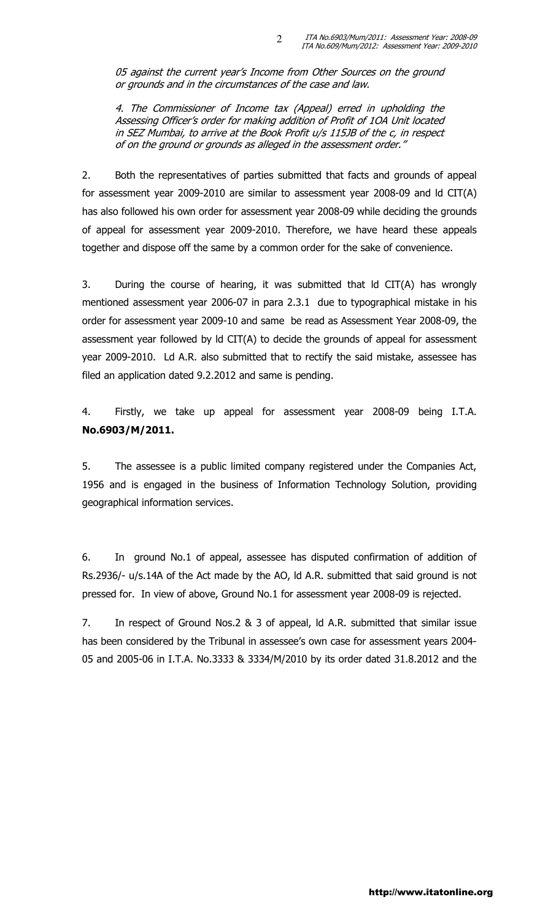05 against the current year's Income from Other Sources on the ground or grounds and in the circumstances of the case and law.

 $\mathcal{L}$ 

4. The Commissioner of Income tax (Appeal) erred in upholding the Assessing Officer's order for making addition of Profit of 1OA Unit located in SEZ Mumbai, to arrive at the Book Profit u/s 115JB of the c, in respect of on the ground or grounds as alleged in the assessment order."

2. Both the representatives of parties submitted that facts and grounds of appeal for assessment year 2009-2010 are similar to assessment year 2008-09 and ld CIT(A) has also followed his own order for assessment year 2008-09 while deciding the grounds of appeal for assessment year 2009-2010. Therefore, we have heard these appeals together and dispose off the same by a common order for the sake of convenience.

3. During the course of hearing, it was submitted that ld CIT(A) has wrongly mentioned assessment year 2006-07 in para 2.3.1 due to typographical mistake in his order for assessment year 2009-10 and same be read as Assessment Year 2008-09, the assessment year followed by ld CIT(A) to decide the grounds of appeal for assessment year 2009-2010. Ld A.R. also submitted that to rectify the said mistake, assessee has filed an application dated 9.2.2012 and same is pending.

4. Firstly, we take up appeal for assessment year 2008-09 being I.T.A. No.6903/M/2011.

5. The assessee is a public limited company registered under the Companies Act, 1956 and is engaged in the business of Information Technology Solution, providing geographical information services.

6. In ground No.1 of appeal, assessee has disputed confirmation of addition of Rs.2936/- u/s.14A of the Act made by the AO, ld A.R. submitted that said ground is not pressed for. In view of above, Ground No.1 for assessment year 2008-09 is rejected.

7. In respect of Ground Nos.2 & 3 of appeal, ld A.R. submitted that similar issue has been considered by the Tribunal in assessee's own case for assessment years 2004- 05 and 2005-06 in I.T.A. No.3333 & 3334/M/2010 by its order dated 31.8.2012 and the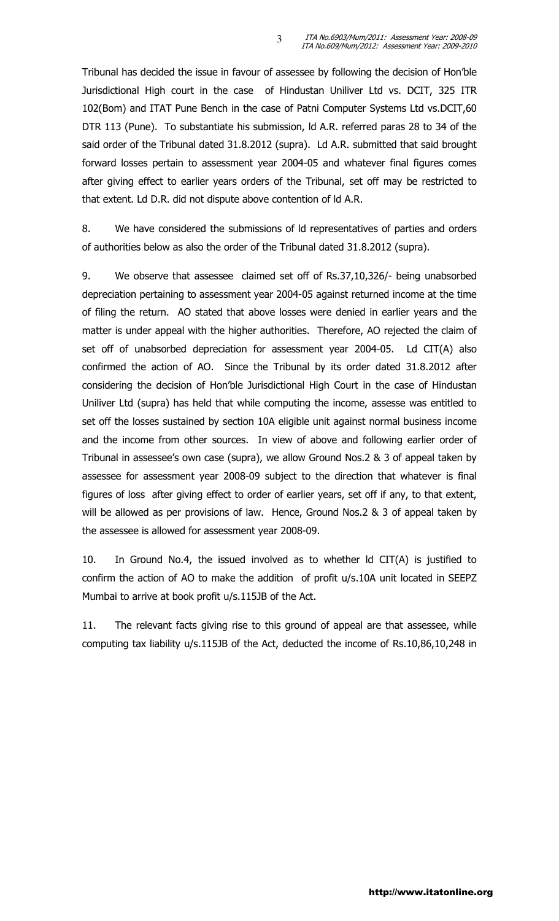Tribunal has decided the issue in favour of assessee by following the decision of Hon'ble Jurisdictional High court in the case of Hindustan Uniliver Ltd vs. DCIT, 325 ITR 102(Bom) and ITAT Pune Bench in the case of Patni Computer Systems Ltd vs.DCIT,60 DTR 113 (Pune). To substantiate his submission, ld A.R. referred paras 28 to 34 of the said order of the Tribunal dated 31.8.2012 (supra). Ld A.R. submitted that said brought forward losses pertain to assessment year 2004-05 and whatever final figures comes after giving effect to earlier years orders of the Tribunal, set off may be restricted to that extent. Ld D.R. did not dispute above contention of ld A.R.

3

8. We have considered the submissions of ld representatives of parties and orders of authorities below as also the order of the Tribunal dated 31.8.2012 (supra).

9. We observe that assessee claimed set off of Rs.37,10,326/- being unabsorbed depreciation pertaining to assessment year 2004-05 against returned income at the time of filing the return. AO stated that above losses were denied in earlier years and the matter is under appeal with the higher authorities. Therefore, AO rejected the claim of set off of unabsorbed depreciation for assessment year 2004-05. Ld CIT(A) also confirmed the action of AO. Since the Tribunal by its order dated 31.8.2012 after considering the decision of Hon'ble Jurisdictional High Court in the case of Hindustan Uniliver Ltd (supra) has held that while computing the income, assesse was entitled to set off the losses sustained by section 10A eligible unit against normal business income and the income from other sources. In view of above and following earlier order of Tribunal in assessee's own case (supra), we allow Ground Nos.2 & 3 of appeal taken by assessee for assessment year 2008-09 subject to the direction that whatever is final figures of loss after giving effect to order of earlier years, set off if any, to that extent, will be allowed as per provisions of law. Hence, Ground Nos.2 & 3 of appeal taken by the assessee is allowed for assessment year 2008-09.

10. In Ground No.4, the issued involved as to whether ld CIT(A) is justified to confirm the action of AO to make the addition of profit u/s.10A unit located in SEEPZ Mumbai to arrive at book profit u/s.115JB of the Act.

11. The relevant facts giving rise to this ground of appeal are that assessee, while computing tax liability u/s.115JB of the Act, deducted the income of Rs.10,86,10,248 in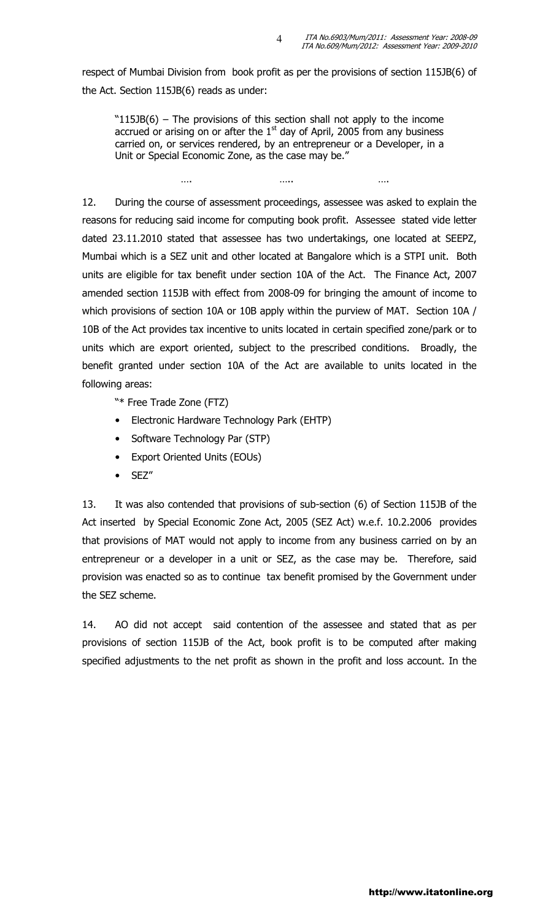respect of Mumbai Division from book profit as per the provisions of section 115JB(6) of the Act. Section 115JB(6) reads as under:

4

"115JB(6) – The provisions of this section shall not apply to the income accrued or arising on or after the  $1<sup>st</sup>$  day of April, 2005 from any business carried on, or services rendered, by an entrepreneur or a Developer, in a Unit or Special Economic Zone, as the case may be."

…. ….. ….

12. During the course of assessment proceedings, assessee was asked to explain the reasons for reducing said income for computing book profit. Assessee stated vide letter dated 23.11.2010 stated that assessee has two undertakings, one located at SEEPZ, Mumbai which is a SEZ unit and other located at Bangalore which is a STPI unit. Both units are eligible for tax benefit under section 10A of the Act. The Finance Act, 2007 amended section 115JB with effect from 2008-09 for bringing the amount of income to which provisions of section 10A or 10B apply within the purview of MAT. Section 10A / 10B of the Act provides tax incentive to units located in certain specified zone/park or to units which are export oriented, subject to the prescribed conditions. Broadly, the benefit granted under section 10A of the Act are available to units located in the following areas:

"\* Free Trade Zone (FTZ)

- Electronic Hardware Technology Park (EHTP)
- Software Technology Par (STP)
- Export Oriented Units (EOUs)
- SEZ"

13. It was also contended that provisions of sub-section (6) of Section 115JB of the Act inserted by Special Economic Zone Act, 2005 (SEZ Act) w.e.f. 10.2.2006 provides that provisions of MAT would not apply to income from any business carried on by an entrepreneur or a developer in a unit or SEZ, as the case may be. Therefore, said provision was enacted so as to continue tax benefit promised by the Government under the SEZ scheme.

14. AO did not accept said contention of the assessee and stated that as per provisions of section 115JB of the Act, book profit is to be computed after making specified adjustments to the net profit as shown in the profit and loss account. In the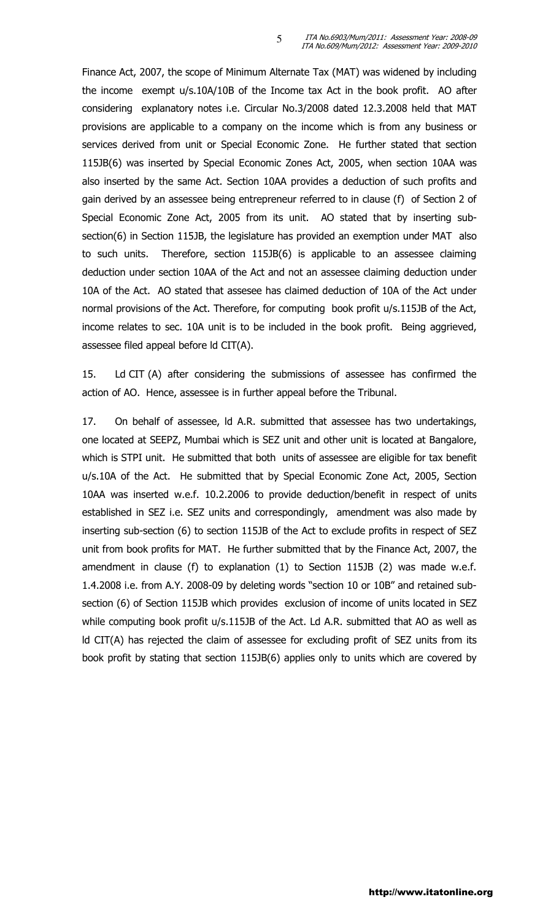Finance Act, 2007, the scope of Minimum Alternate Tax (MAT) was widened by including the income exempt u/s.10A/10B of the Income tax Act in the book profit. AO after considering explanatory notes i.e. Circular No.3/2008 dated 12.3.2008 held that MAT provisions are applicable to a company on the income which is from any business or services derived from unit or Special Economic Zone. He further stated that section 115JB(6) was inserted by Special Economic Zones Act, 2005, when section 10AA was also inserted by the same Act. Section 10AA provides a deduction of such profits and gain derived by an assessee being entrepreneur referred to in clause (f) of Section 2 of Special Economic Zone Act, 2005 from its unit. AO stated that by inserting subsection(6) in Section 115JB, the legislature has provided an exemption under MAT also to such units. Therefore, section 115JB(6) is applicable to an assessee claiming deduction under section 10AA of the Act and not an assessee claiming deduction under 10A of the Act. AO stated that assesee has claimed deduction of 10A of the Act under normal provisions of the Act. Therefore, for computing book profit u/s.115JB of the Act, income relates to sec. 10A unit is to be included in the book profit. Being aggrieved, assessee filed appeal before ld CIT(A).

5

15. Ld CIT (A) after considering the submissions of assessee has confirmed the action of AO. Hence, assessee is in further appeal before the Tribunal.

17. On behalf of assessee, ld A.R. submitted that assessee has two undertakings, one located at SEEPZ, Mumbai which is SEZ unit and other unit is located at Bangalore, which is STPI unit. He submitted that both units of assessee are eligible for tax benefit u/s.10A of the Act. He submitted that by Special Economic Zone Act, 2005, Section 10AA was inserted w.e.f. 10.2.2006 to provide deduction/benefit in respect of units established in SEZ i.e. SEZ units and correspondingly, amendment was also made by inserting sub-section (6) to section 115JB of the Act to exclude profits in respect of SEZ unit from book profits for MAT. He further submitted that by the Finance Act, 2007, the amendment in clause (f) to explanation (1) to Section 115JB (2) was made w.e.f. 1.4.2008 i.e. from A.Y. 2008-09 by deleting words "section 10 or 10B" and retained subsection (6) of Section 115JB which provides exclusion of income of units located in SEZ while computing book profit u/s.115JB of the Act. Ld A.R. submitted that AO as well as ld CIT(A) has rejected the claim of assessee for excluding profit of SEZ units from its book profit by stating that section 115JB(6) applies only to units which are covered by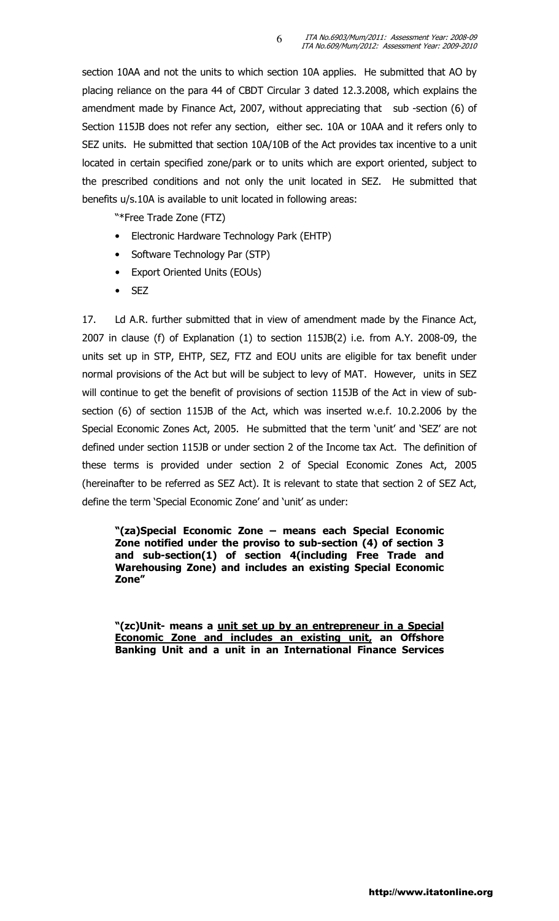section 10AA and not the units to which section 10A applies. He submitted that AO by placing reliance on the para 44 of CBDT Circular 3 dated 12.3.2008, which explains the amendment made by Finance Act, 2007, without appreciating that sub-section (6) of Section 115JB does not refer any section, either sec. 10A or 10AA and it refers only to SEZ units. He submitted that section 10A/10B of the Act provides tax incentive to a unit located in certain specified zone/park or to units which are export oriented, subject to the prescribed conditions and not only the unit located in SEZ. He submitted that benefits u/s.10A is available to unit located in following areas:

6

"\*Free Trade Zone (FTZ)

- Electronic Hardware Technology Park (EHTP)
- Software Technology Par (STP)
- Export Oriented Units (EOUs)
- SEZ

17. Ld A.R. further submitted that in view of amendment made by the Finance Act, 2007 in clause (f) of Explanation (1) to section 115JB(2) i.e. from A.Y. 2008-09, the units set up in STP, EHTP, SEZ, FTZ and EOU units are eligible for tax benefit under normal provisions of the Act but will be subject to levy of MAT. However, units in SEZ will continue to get the benefit of provisions of section 115JB of the Act in view of subsection (6) of section 115JB of the Act, which was inserted w.e.f. 10.2.2006 by the Special Economic Zones Act, 2005. He submitted that the term 'unit' and 'SEZ' are not defined under section 115JB or under section 2 of the Income tax Act. The definition of these terms is provided under section 2 of Special Economic Zones Act, 2005 (hereinafter to be referred as SEZ Act). It is relevant to state that section 2 of SEZ Act, define the term 'Special Economic Zone' and 'unit' as under:

"(za)Special Economic Zone – means each Special Economic Zone notified under the proviso to sub-section (4) of section 3 and sub-section(1) of section 4(including Free Trade and Warehousing Zone) and includes an existing Special Economic Zone"

"(zc)Unit- means a unit set up by an entrepreneur in a Special Economic Zone and includes an existing unit, an Offshore Banking Unit and a unit in an International Finance Services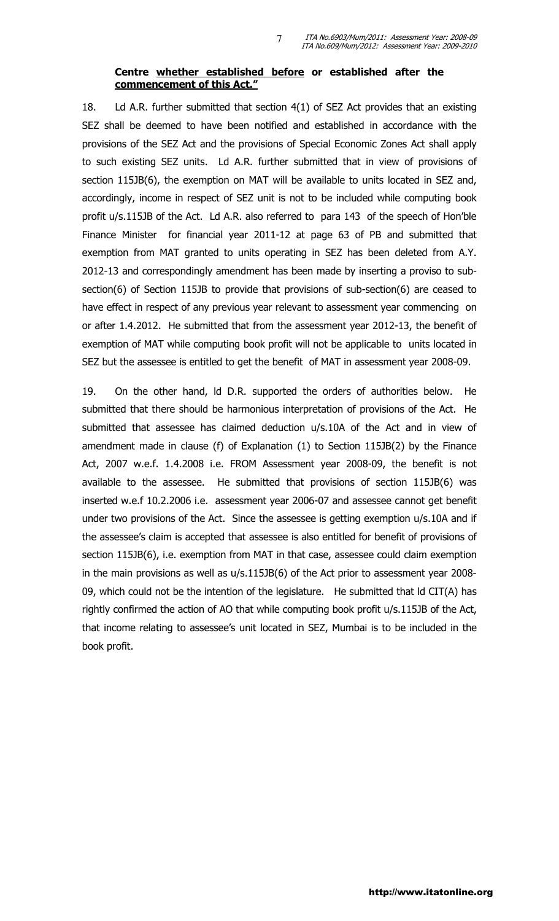## Centre whether established before or established after the commencement of this Act."

7

18. Ld A.R. further submitted that section 4(1) of SEZ Act provides that an existing SEZ shall be deemed to have been notified and established in accordance with the provisions of the SEZ Act and the provisions of Special Economic Zones Act shall apply to such existing SEZ units. Ld A.R. further submitted that in view of provisions of section 115JB(6), the exemption on MAT will be available to units located in SEZ and, accordingly, income in respect of SEZ unit is not to be included while computing book profit u/s.115JB of the Act. Ld A.R. also referred to para 143 of the speech of Hon'ble Finance Minister for financial year 2011-12 at page 63 of PB and submitted that exemption from MAT granted to units operating in SEZ has been deleted from A.Y. 2012-13 and correspondingly amendment has been made by inserting a proviso to subsection(6) of Section 115JB to provide that provisions of sub-section(6) are ceased to have effect in respect of any previous year relevant to assessment year commencing on or after 1.4.2012. He submitted that from the assessment year 2012-13, the benefit of exemption of MAT while computing book profit will not be applicable to units located in SEZ but the assessee is entitled to get the benefit of MAT in assessment year 2008-09.

19. On the other hand, ld D.R. supported the orders of authorities below. He submitted that there should be harmonious interpretation of provisions of the Act. He submitted that assessee has claimed deduction u/s.10A of the Act and in view of amendment made in clause (f) of Explanation (1) to Section 115JB(2) by the Finance Act, 2007 w.e.f. 1.4.2008 i.e. FROM Assessment year 2008-09, the benefit is not available to the assessee. He submitted that provisions of section 115JB(6) was inserted w.e.f 10.2.2006 i.e. assessment year 2006-07 and assessee cannot get benefit under two provisions of the Act. Since the assessee is getting exemption u/s.10A and if the assessee's claim is accepted that assessee is also entitled for benefit of provisions of section 115JB(6), i.e. exemption from MAT in that case, assessee could claim exemption in the main provisions as well as u/s.115JB(6) of the Act prior to assessment year 2008- 09, which could not be the intention of the legislature. He submitted that Id CIT(A) has rightly confirmed the action of AO that while computing book profit u/s.115JB of the Act, that income relating to assessee's unit located in SEZ, Mumbai is to be included in the book profit.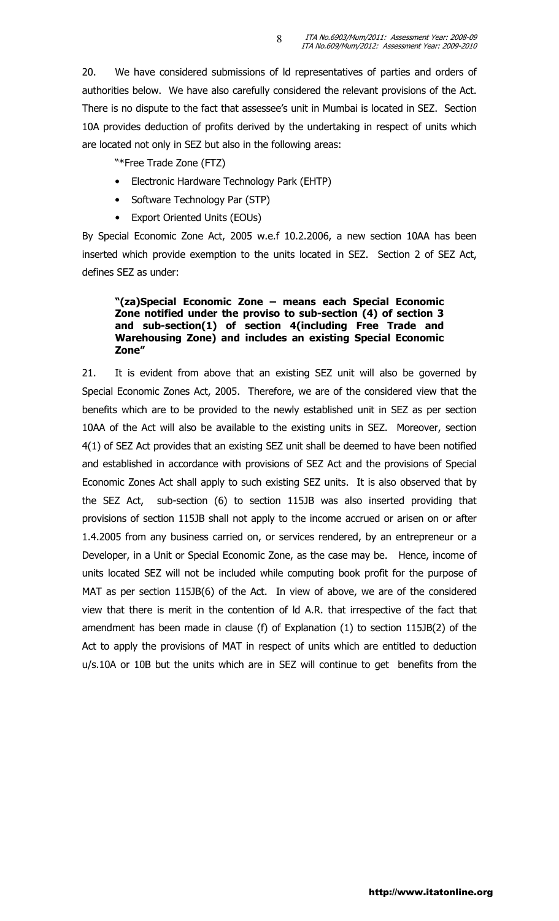20. We have considered submissions of ld representatives of parties and orders of authorities below. We have also carefully considered the relevant provisions of the Act. There is no dispute to the fact that assessee's unit in Mumbai is located in SEZ. Section 10A provides deduction of profits derived by the undertaking in respect of units which are located not only in SEZ but also in the following areas:

8

"\*Free Trade Zone (FTZ)

- Electronic Hardware Technology Park (EHTP)
- Software Technology Par (STP)
- Export Oriented Units (EOUs)

By Special Economic Zone Act, 2005 w.e.f 10.2.2006, a new section 10AA has been inserted which provide exemption to the units located in SEZ. Section 2 of SEZ Act, defines SEZ as under:

## "(za)Special Economic Zone – means each Special Economic Zone notified under the proviso to sub-section (4) of section 3 and sub-section(1) of section 4(including Free Trade and Warehousing Zone) and includes an existing Special Economic Zone"

21. It is evident from above that an existing SEZ unit will also be governed by Special Economic Zones Act, 2005. Therefore, we are of the considered view that the benefits which are to be provided to the newly established unit in SEZ as per section 10AA of the Act will also be available to the existing units in SEZ. Moreover, section 4(1) of SEZ Act provides that an existing SEZ unit shall be deemed to have been notified and established in accordance with provisions of SEZ Act and the provisions of Special Economic Zones Act shall apply to such existing SEZ units. It is also observed that by the SEZ Act, sub-section (6) to section 115JB was also inserted providing that provisions of section 115JB shall not apply to the income accrued or arisen on or after 1.4.2005 from any business carried on, or services rendered, by an entrepreneur or a Developer, in a Unit or Special Economic Zone, as the case may be. Hence, income of units located SEZ will not be included while computing book profit for the purpose of MAT as per section 115JB(6) of the Act. In view of above, we are of the considered view that there is merit in the contention of ld A.R. that irrespective of the fact that amendment has been made in clause (f) of Explanation (1) to section 115JB(2) of the Act to apply the provisions of MAT in respect of units which are entitled to deduction u/s.10A or 10B but the units which are in SEZ will continue to get benefits from the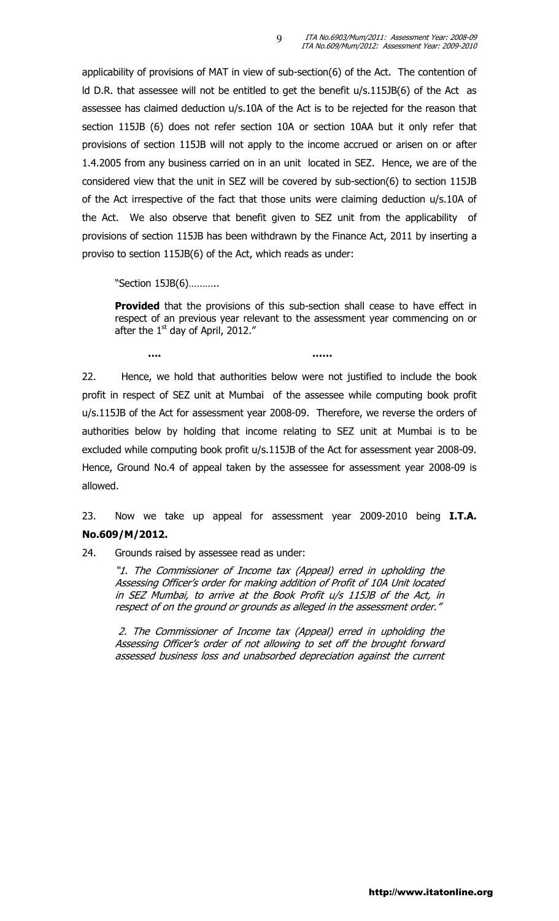applicability of provisions of MAT in view of sub-section(6) of the Act. The contention of ld D.R. that assessee will not be entitled to get the benefit u/s.115JB(6) of the Act as assessee has claimed deduction u/s.10A of the Act is to be rejected for the reason that section 115JB (6) does not refer section 10A or section 10AA but it only refer that provisions of section 115JB will not apply to the income accrued or arisen on or after 1.4.2005 from any business carried on in an unit located in SEZ. Hence, we are of the considered view that the unit in SEZ will be covered by sub-section(6) to section 115JB of the Act irrespective of the fact that those units were claiming deduction u/s.10A of the Act. We also observe that benefit given to SEZ unit from the applicability of provisions of section 115JB has been withdrawn by the Finance Act, 2011 by inserting a proviso to section 115JB(6) of the Act, which reads as under:

"Section 15JB(6)………..

**Provided** that the provisions of this sub-section shall cease to have effect in respect of an previous year relevant to the assessment year commencing on or after the 1<sup>st</sup> day of April, 2012."

22. Hence, we hold that authorities below were not justified to include the book profit in respect of SEZ unit at Mumbai of the assessee while computing book profit u/s.115JB of the Act for assessment year 2008-09. Therefore, we reverse the orders of authorities below by holding that income relating to SEZ unit at Mumbai is to be excluded while computing book profit u/s.115JB of the Act for assessment year 2008-09. Hence, Ground No.4 of appeal taken by the assessee for assessment year 2008-09 is allowed.

…. ……

# 23. Now we take up appeal for assessment year 2009-2010 being I.T.A. No.609/M/2012.

24. Grounds raised by assessee read as under:

"1. The Commissioner of Income tax (Appeal) erred in upholding the Assessing Officer's order for making addition of Profit of 10A Unit located in SEZ Mumbai, to arrive at the Book Profit u/s 115JB of the Act, in respect of on the ground or grounds as alleged in the assessment order."

 2. The Commissioner of Income tax (Appeal) erred in upholding the Assessing Officer's order of not allowing to set off the brought forward assessed business loss and unabsorbed depreciation against the current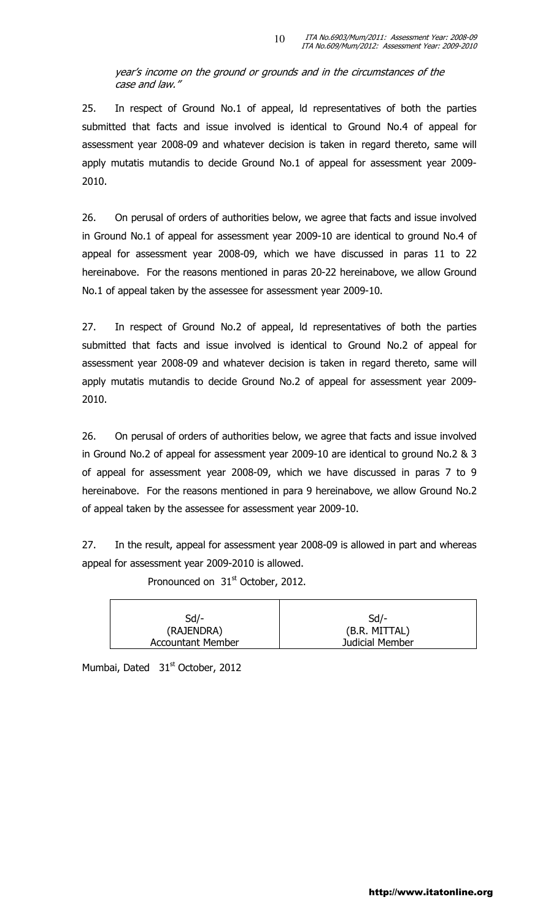year's income on the ground or grounds and in the circumstances of the case and law."

25. In respect of Ground No.1 of appeal, ld representatives of both the parties submitted that facts and issue involved is identical to Ground No.4 of appeal for assessment year 2008-09 and whatever decision is taken in regard thereto, same will apply mutatis mutandis to decide Ground No.1 of appeal for assessment year 2009- 2010.

26. On perusal of orders of authorities below, we agree that facts and issue involved in Ground No.1 of appeal for assessment year 2009-10 are identical to ground No.4 of appeal for assessment year 2008-09, which we have discussed in paras 11 to 22 hereinabove. For the reasons mentioned in paras 20-22 hereinabove, we allow Ground No.1 of appeal taken by the assessee for assessment year 2009-10.

27. In respect of Ground No.2 of appeal, ld representatives of both the parties submitted that facts and issue involved is identical to Ground No.2 of appeal for assessment year 2008-09 and whatever decision is taken in regard thereto, same will apply mutatis mutandis to decide Ground No.2 of appeal for assessment year 2009- 2010.

26. On perusal of orders of authorities below, we agree that facts and issue involved in Ground No.2 of appeal for assessment year 2009-10 are identical to ground No.2 & 3 of appeal for assessment year 2008-09, which we have discussed in paras 7 to 9 hereinabove. For the reasons mentioned in para 9 hereinabove, we allow Ground No.2 of appeal taken by the assessee for assessment year 2009-10.

27. In the result, appeal for assessment year 2008-09 is allowed in part and whereas appeal for assessment year 2009-2010 is allowed.

Pronounced on 31<sup>st</sup> October, 2012.

| $Sd$ /-                  | $Sd$ /-         |
|--------------------------|-----------------|
| (RAJENDRA)               | (B.R. MITTAL)   |
| <b>Accountant Member</b> | Judicial Member |

Mumbai, Dated 31<sup>st</sup> October, 2012